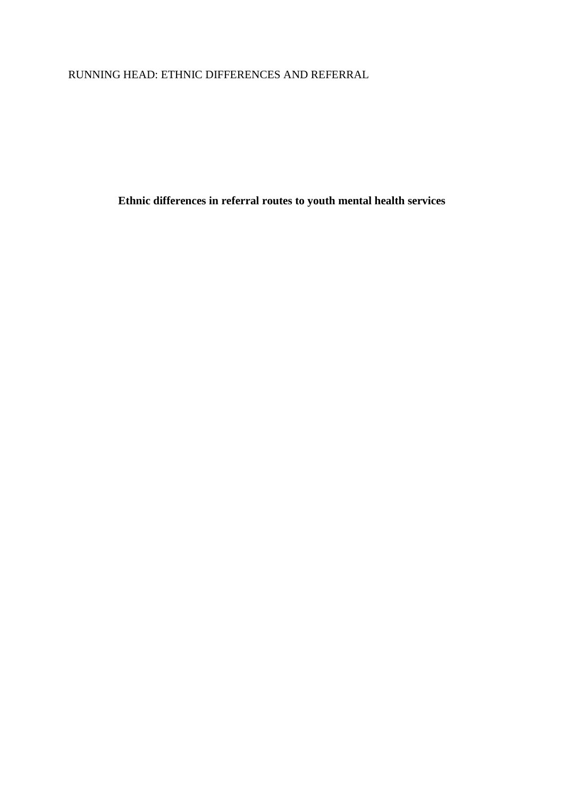RUNNING HEAD: ETHNIC DIFFERENCES AND REFERRAL

**Ethnic differences in referral routes to youth mental health services**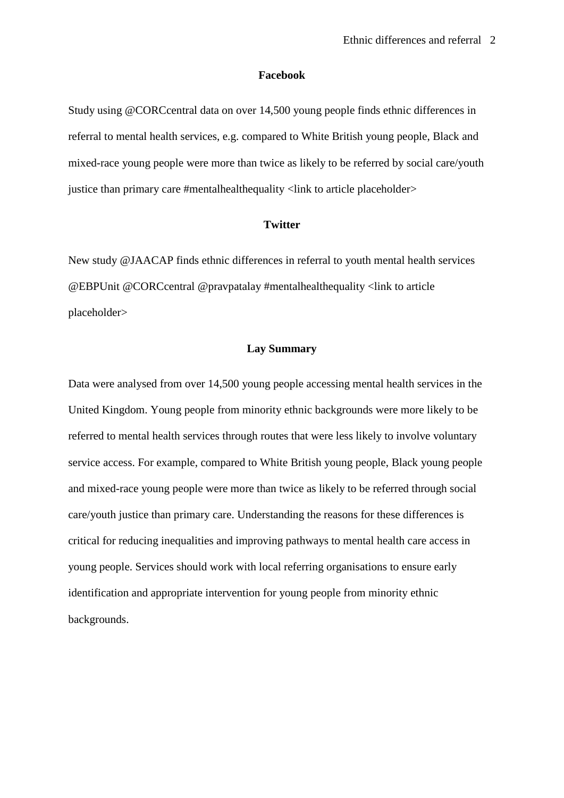### **Facebook**

Study using @CORCcentral data on over 14,500 young people finds ethnic differences in referral to mental health services, e.g. compared to White British young people, Black and mixed-race young people were more than twice as likely to be referred by social care/youth justice than primary care #mentalhealthequality <link to article placeholder>

## **Twitter**

New study @JAACAP finds ethnic differences in referral to youth mental health services @EBPUnit @CORCcentral @pravpatalay #mentalhealthequality <link to article placeholder>

### **Lay Summary**

Data were analysed from over 14,500 young people accessing mental health services in the United Kingdom. Young people from minority ethnic backgrounds were more likely to be referred to mental health services through routes that were less likely to involve voluntary service access. For example, compared to White British young people, Black young people and mixed-race young people were more than twice as likely to be referred through social care/youth justice than primary care. Understanding the reasons for these differences is critical for reducing inequalities and improving pathways to mental health care access in young people. Services should work with local referring organisations to ensure early identification and appropriate intervention for young people from minority ethnic backgrounds.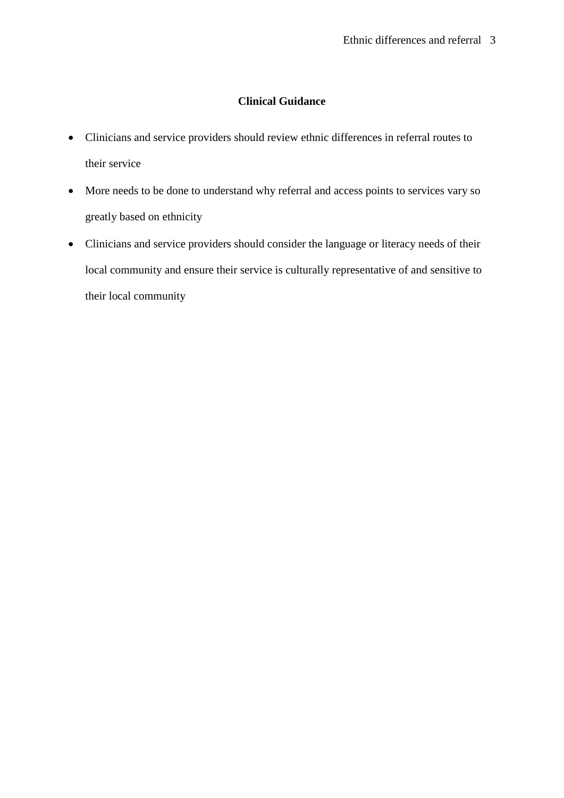# **Clinical Guidance**

- Clinicians and service providers should review ethnic differences in referral routes to their service
- More needs to be done to understand why referral and access points to services vary so greatly based on ethnicity
- Clinicians and service providers should consider the language or literacy needs of their local community and ensure their service is culturally representative of and sensitive to their local community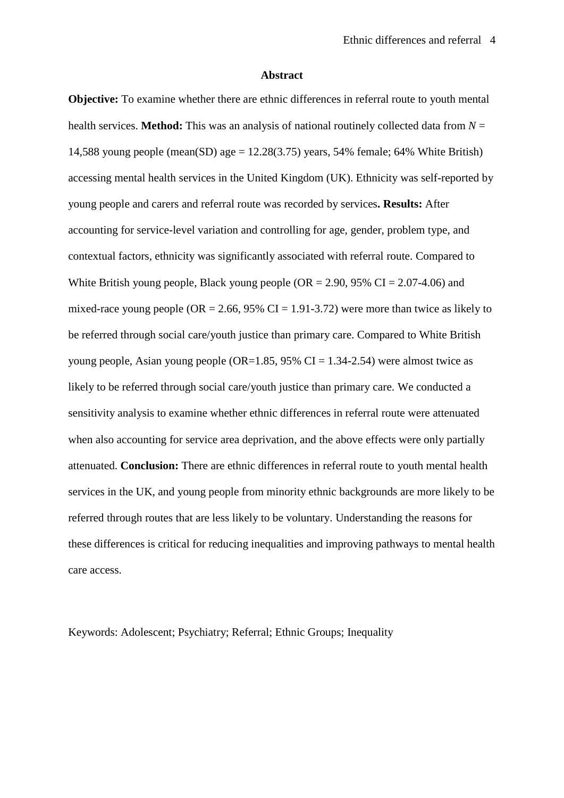### **Abstract**

**Objective:** To examine whether there are ethnic differences in referral route to youth mental health services. **Method:** This was an analysis of national routinely collected data from *N* = 14,588 young people (mean(SD) age  $= 12.28(3.75)$  years, 54% female; 64% White British) accessing mental health services in the United Kingdom (UK). Ethnicity was self-reported by young people and carers and referral route was recorded by services**. Results:** After accounting for service-level variation and controlling for age, gender, problem type, and contextual factors, ethnicity was significantly associated with referral route. Compared to White British young people, Black young people ( $OR = 2.90$ ,  $95\%$  CI = 2.07-4.06) and mixed-race young people (OR = 2.66, 95% CI = 1.91-3.72) were more than twice as likely to be referred through social care/youth justice than primary care. Compared to White British young people, Asian young people (OR=1.85, 95% CI = 1.34-2.54) were almost twice as likely to be referred through social care/youth justice than primary care. We conducted a sensitivity analysis to examine whether ethnic differences in referral route were attenuated when also accounting for service area deprivation, and the above effects were only partially attenuated. **Conclusion:** There are ethnic differences in referral route to youth mental health services in the UK, and young people from minority ethnic backgrounds are more likely to be referred through routes that are less likely to be voluntary. Understanding the reasons for these differences is critical for reducing inequalities and improving pathways to mental health care access.

Keywords: Adolescent; Psychiatry; Referral; Ethnic Groups; Inequality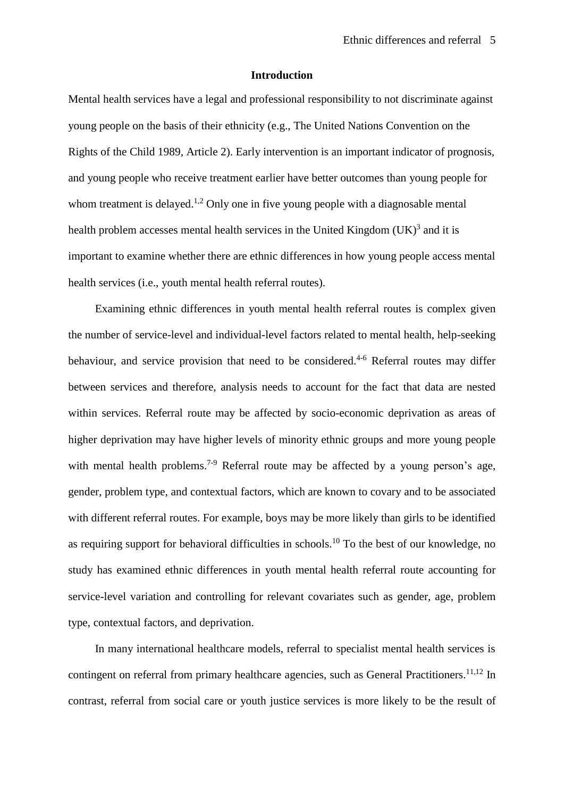## **Introduction**

Mental health services have a legal and professional responsibility to not discriminate against young people on the basis of their ethnicity (e.g., The United Nations Convention on the Rights of the Child 1989, Article 2). Early intervention is an important indicator of prognosis, and young people who receive treatment earlier have better outcomes than young people for whom treatment is delayed.<sup>[1,](#page-15-0)[2](#page-15-1)</sup> Only one in five young people with a diagnosable mental health problem accesses mental health services in the United Kingdom  $(UK)^3$  $(UK)^3$  and it is important to examine whether there are ethnic differences in how young people access mental health services (i.e., youth mental health referral routes).

Examining ethnic differences in youth mental health referral routes is complex given the number of service-level and individual-level factors related to mental health, help-seeking behaviour, and service provision that need to be considered.<sup>[4-6](#page-15-3)</sup> Referral routes may differ between services and therefore, analysis needs to account for the fact that data are nested within services. Referral route may be affected by socio-economic deprivation as areas of higher deprivation may have higher levels of minority ethnic groups and more young people with mental health problems.<sup>[7-9](#page-15-4)</sup> Referral route may be affected by a young person's age, gender, problem type, and contextual factors, which are known to covary and to be associated with different referral routes. For example, boys may be more likely than girls to be identified as requiring support for behavioral difficulties in schools.<sup>[10](#page-16-0)</sup> To the best of our knowledge, no study has examined ethnic differences in youth mental health referral route accounting for service-level variation and controlling for relevant covariates such as gender, age, problem type, contextual factors, and deprivation.

In many international healthcare models, referral to specialist mental health services is contingent on referral from primary healthcare agencies, such as General Practitioners.<sup>[11](#page-16-1)[,12](#page-16-2)</sup> In contrast, referral from social care or youth justice services is more likely to be the result of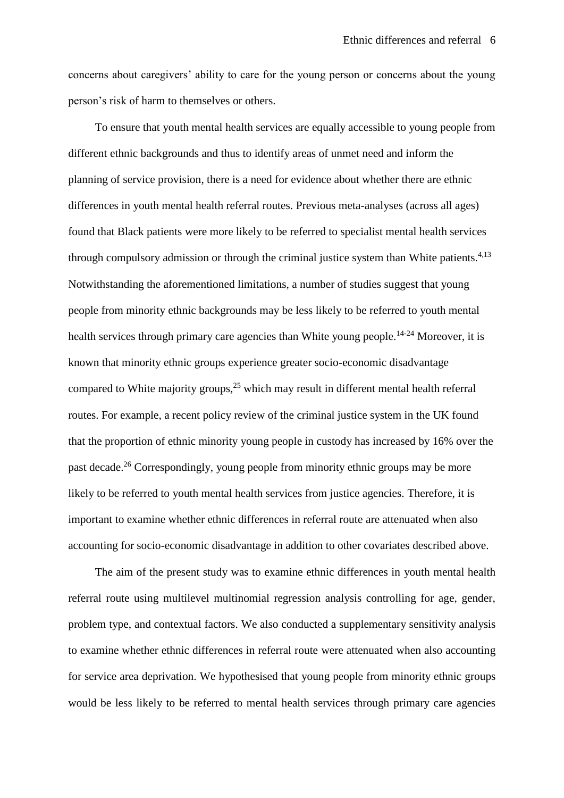concerns about caregivers' ability to care for the young person or concerns about the young person's risk of harm to themselves or others.

To ensure that youth mental health services are equally accessible to young people from different ethnic backgrounds and thus to identify areas of unmet need and inform the planning of service provision, there is a need for evidence about whether there are ethnic differences in youth mental health referral routes. Previous meta-analyses (across all ages) found that Black patients were more likely to be referred to specialist mental health services through compulsory admission or through the criminal justice system than White patients. $4,13$  $4,13$ Notwithstanding the aforementioned limitations, a number of studies suggest that young people from minority ethnic backgrounds may be less likely to be referred to youth mental health services through primary care agencies than White young people.<sup>[14-24](#page-16-4)</sup> Moreover, it is known that minority ethnic groups experience greater socio-economic disadvantage compared to White majority groups, $^{25}$  $^{25}$  $^{25}$  which may result in different mental health referral routes. For example, a recent policy review of the criminal justice system in the UK found that the proportion of ethnic minority young people in custody has increased by 16% over the past decade.[26](#page-17-1) Correspondingly, young people from minority ethnic groups may be more likely to be referred to youth mental health services from justice agencies. Therefore, it is important to examine whether ethnic differences in referral route are attenuated when also accounting for socio-economic disadvantage in addition to other covariates described above.

The aim of the present study was to examine ethnic differences in youth mental health referral route using multilevel multinomial regression analysis controlling for age, gender, problem type, and contextual factors. We also conducted a supplementary sensitivity analysis to examine whether ethnic differences in referral route were attenuated when also accounting for service area deprivation. We hypothesised that young people from minority ethnic groups would be less likely to be referred to mental health services through primary care agencies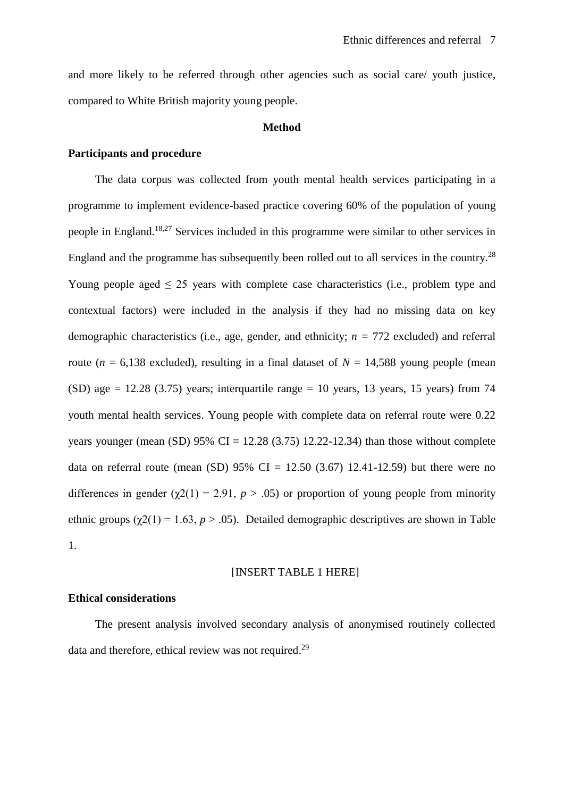and more likely to be referred through other agencies such as social care/ youth justice, compared to White British majority young people.

### **Method**

## **Participants and procedure**

The data corpus was collected from youth mental health services participating in a programme to implement evidence-based practice covering 60% of the population of young people in England.<sup>[18,](#page-16-5)[27](#page-18-0)</sup> Services included in this programme were similar to other services in England and the programme has subsequently been rolled out to all services in the country.<sup>[28](#page-18-1)</sup> Young people aged  $\leq 25$  years with complete case characteristics (i.e., problem type and contextual factors) were included in the analysis if they had no missing data on key demographic characteristics (i.e., age, gender, and ethnicity; *n =* 772 excluded) and referral route ( $n = 6,138$  excluded), resulting in a final dataset of  $N = 14,588$  young people (mean (SD) age = 12.28 (3.75) years; interquartile range = 10 years, 13 years, 15 years) from 74 youth mental health services. Young people with complete data on referral route were 0.22 years younger (mean (SD)  $95\%$  CI = 12.28 (3.75) 12.22-12.34) than those without complete data on referral route (mean (SD)  $95\%$  CI = 12.50 (3.67) 12.41-12.59) but there were no differences in gender  $(\gamma_2(1) = 2.91, p > .05)$  or proportion of young people from minority ethnic groups ( $\chi$ 2(1) = 1.63, *p* > .05). Detailed demographic descriptives are shown in Table 1.

### [INSERT TABLE 1 HERE]

## **Ethical considerations**

The present analysis involved secondary analysis of anonymised routinely collected data and therefore, ethical review was not required.<sup>[29](#page-18-2)</sup>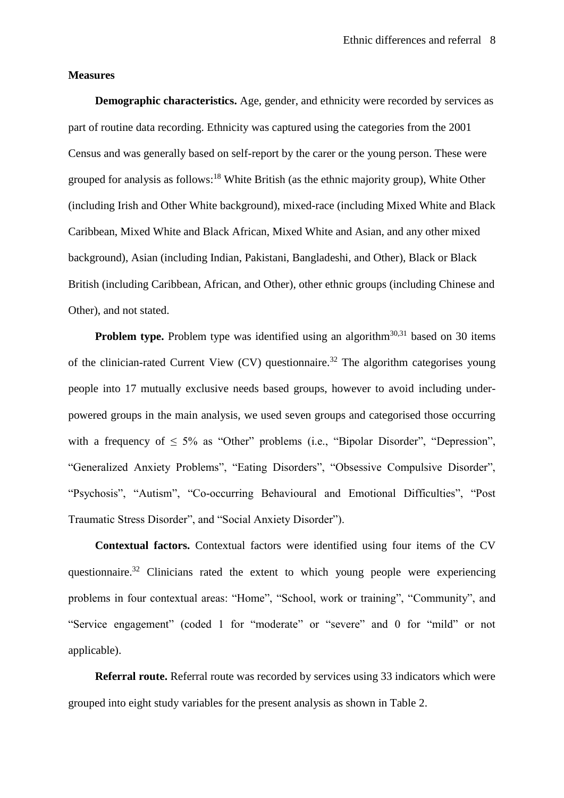### **Measures**

**Demographic characteristics.** Age, gender, and ethnicity were recorded by services as part of routine data recording. Ethnicity was captured using the categories from the 2001 Census and was generally based on self-report by the carer or the young person. These were grouped for analysis as follows:<sup>[18](#page-16-5)</sup> White British (as the ethnic majority group), White Other (including Irish and Other White background), mixed-race (including Mixed White and Black Caribbean, Mixed White and Black African, Mixed White and Asian, and any other mixed background), Asian (including Indian, Pakistani, Bangladeshi, and Other), Black or Black British (including Caribbean, African, and Other), other ethnic groups (including Chinese and Other), and not stated.

**Problem type.** Problem type was identified using an algorithm<sup>[30,](#page-18-3)[31](#page-18-4)</sup> based on 30 items of the clinician-rated Current View (CV) questionnaire.<sup>[32](#page-18-5)</sup> The algorithm categorises young people into 17 mutually exclusive needs based groups, however to avoid including underpowered groups in the main analysis, we used seven groups and categorised those occurring with a frequency of  $\leq 5\%$  as "Other" problems (i.e., "Bipolar Disorder", "Depression", "Generalized Anxiety Problems", "Eating Disorders", "Obsessive Compulsive Disorder", "Psychosis", "Autism", "Co-occurring Behavioural and Emotional Difficulties", "Post Traumatic Stress Disorder", and "Social Anxiety Disorder").

**Contextual factors.** Contextual factors were identified using four items of the CV questionnaire.<sup>[32](#page-18-5)</sup> Clinicians rated the extent to which young people were experiencing problems in four contextual areas: "Home", "School, work or training", "Community", and "Service engagement" (coded 1 for "moderate" or "severe" and 0 for "mild" or not applicable).

**Referral route.** Referral route was recorded by services using 33 indicators which were grouped into eight study variables for the present analysis as shown in Table 2.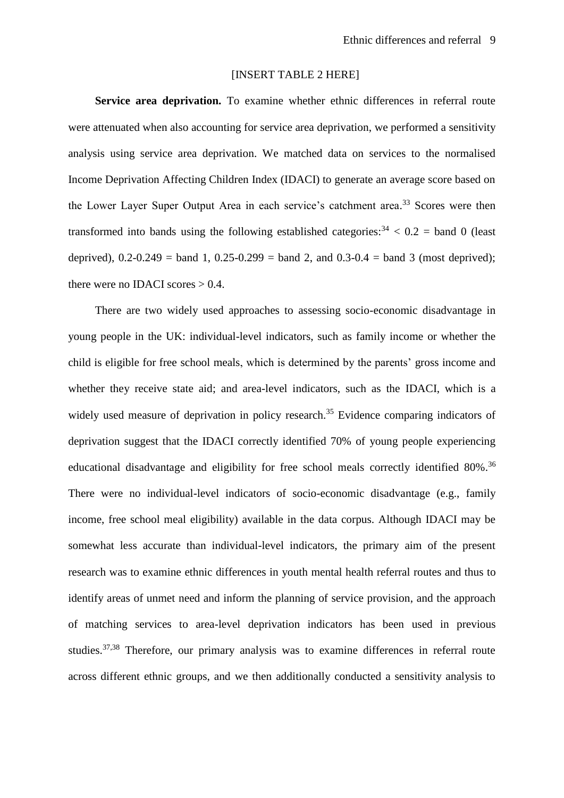### [INSERT TABLE 2 HERE]

**Service area deprivation.** To examine whether ethnic differences in referral route were attenuated when also accounting for service area deprivation, we performed a sensitivity analysis using service area deprivation. We matched data on services to the normalised Income Deprivation Affecting Children Index (IDACI) to generate an average score based on the Lower Layer Super Output Area in each service's catchment area.<sup>[33](#page-18-6)</sup> Scores were then transformed into bands using the following established categories:  $34 < 0.2 =$  $34 < 0.2 =$  band 0 (least deprived),  $0.2 - 0.249 =$  band 1,  $0.25 - 0.299 =$  band 2, and  $0.3 - 0.4 =$  band 3 (most deprived); there were no IDACI scores  $> 0.4$ .

There are two widely used approaches to assessing socio-economic disadvantage in young people in the UK: individual-level indicators, such as family income or whether the child is eligible for free school meals, which is determined by the parents' gross income and whether they receive state aid; and area-level indicators, such as the IDACI, which is a widely used measure of deprivation in policy research.<sup>[35](#page-18-8)</sup> Evidence comparing indicators of deprivation suggest that the IDACI correctly identified 70% of young people experiencing educational disadvantage and eligibility for free school meals correctly identified 80%.<sup>[36](#page-19-0)</sup> There were no individual-level indicators of socio-economic disadvantage (e.g., family income, free school meal eligibility) available in the data corpus. Although IDACI may be somewhat less accurate than individual-level indicators, the primary aim of the present research was to examine ethnic differences in youth mental health referral routes and thus to identify areas of unmet need and inform the planning of service provision, and the approach of matching services to area-level deprivation indicators has been used in previous studies.<sup>[37,](#page-19-1)[38](#page-19-2)</sup> Therefore, our primary analysis was to examine differences in referral route across different ethnic groups, and we then additionally conducted a sensitivity analysis to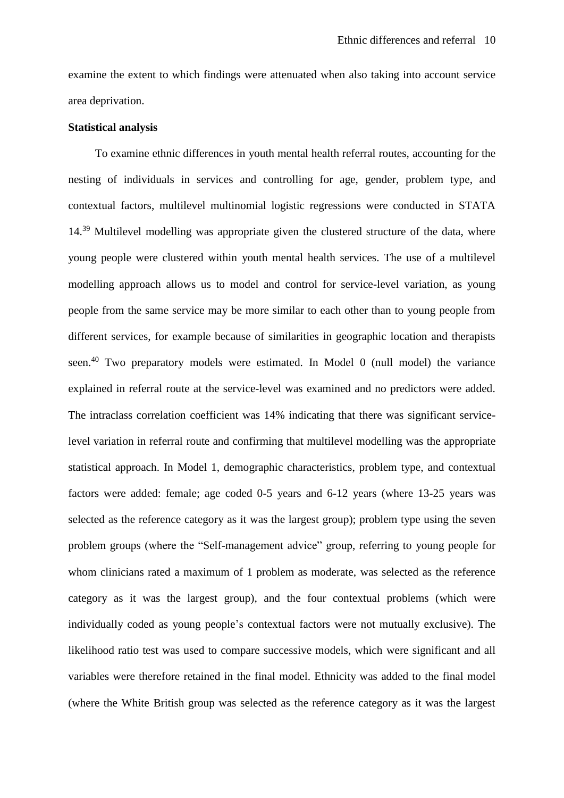examine the extent to which findings were attenuated when also taking into account service area deprivation.

### **Statistical analysis**

To examine ethnic differences in youth mental health referral routes, accounting for the nesting of individuals in services and controlling for age, gender, problem type, and contextual factors, multilevel multinomial logistic regressions were conducted in STATA 14.<sup>[39](#page-19-3)</sup> Multilevel modelling was appropriate given the clustered structure of the data, where young people were clustered within youth mental health services. The use of a multilevel modelling approach allows us to model and control for service-level variation, as young people from the same service may be more similar to each other than to young people from different services, for example because of similarities in geographic location and therapists seen.<sup>[40](#page-19-4)</sup> Two preparatory models were estimated. In Model 0 (null model) the variance explained in referral route at the service-level was examined and no predictors were added. The intraclass correlation coefficient was 14% indicating that there was significant servicelevel variation in referral route and confirming that multilevel modelling was the appropriate statistical approach. In Model 1, demographic characteristics, problem type, and contextual factors were added: female; age coded 0-5 years and 6-12 years (where 13-25 years was selected as the reference category as it was the largest group); problem type using the seven problem groups (where the "Self-management advice" group, referring to young people for whom clinicians rated a maximum of 1 problem as moderate, was selected as the reference category as it was the largest group), and the four contextual problems (which were individually coded as young people's contextual factors were not mutually exclusive). The likelihood ratio test was used to compare successive models, which were significant and all variables were therefore retained in the final model. Ethnicity was added to the final model (where the White British group was selected as the reference category as it was the largest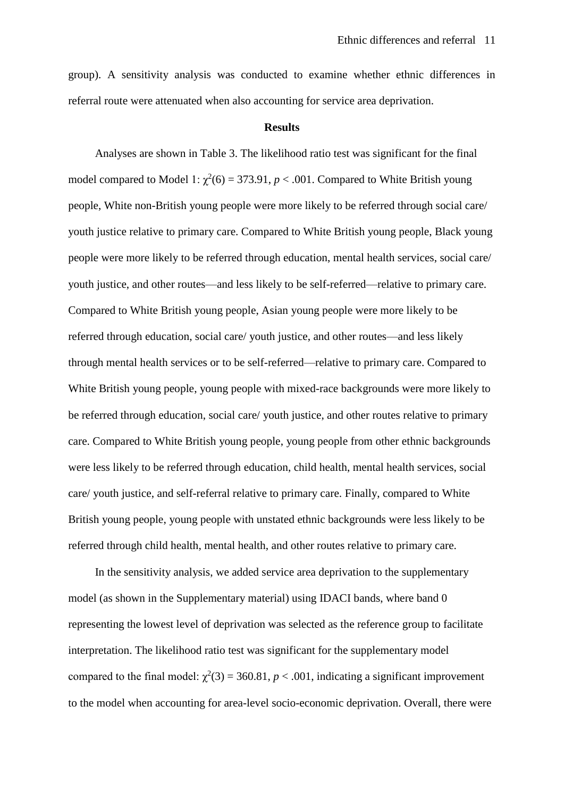group). A sensitivity analysis was conducted to examine whether ethnic differences in referral route were attenuated when also accounting for service area deprivation.

#### **Results**

Analyses are shown in Table 3. The likelihood ratio test was significant for the final model compared to Model 1:  $\chi^2(6) = 373.91$ ,  $p < .001$ . Compared to White British young people, White non-British young people were more likely to be referred through social care/ youth justice relative to primary care. Compared to White British young people, Black young people were more likely to be referred through education, mental health services, social care/ youth justice, and other routes—and less likely to be self-referred—relative to primary care. Compared to White British young people, Asian young people were more likely to be referred through education, social care/ youth justice, and other routes—and less likely through mental health services or to be self-referred—relative to primary care. Compared to White British young people, young people with mixed-race backgrounds were more likely to be referred through education, social care/ youth justice, and other routes relative to primary care. Compared to White British young people, young people from other ethnic backgrounds were less likely to be referred through education, child health, mental health services, social care/ youth justice, and self-referral relative to primary care. Finally, compared to White British young people, young people with unstated ethnic backgrounds were less likely to be referred through child health, mental health, and other routes relative to primary care.

In the sensitivity analysis, we added service area deprivation to the supplementary model (as shown in the Supplementary material) using IDACI bands, where band 0 representing the lowest level of deprivation was selected as the reference group to facilitate interpretation. The likelihood ratio test was significant for the supplementary model compared to the final model:  $\chi^2(3) = 360.81$ ,  $p < .001$ , indicating a significant improvement to the model when accounting for area-level socio-economic deprivation. Overall, there were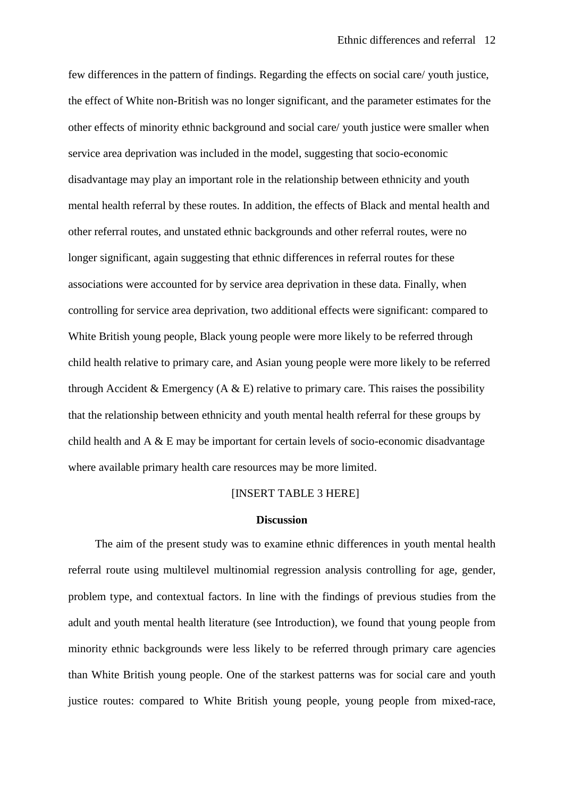few differences in the pattern of findings. Regarding the effects on social care/ youth justice, the effect of White non-British was no longer significant, and the parameter estimates for the other effects of minority ethnic background and social care/ youth justice were smaller when service area deprivation was included in the model, suggesting that socio-economic disadvantage may play an important role in the relationship between ethnicity and youth mental health referral by these routes. In addition, the effects of Black and mental health and other referral routes, and unstated ethnic backgrounds and other referral routes, were no longer significant, again suggesting that ethnic differences in referral routes for these associations were accounted for by service area deprivation in these data. Finally, when controlling for service area deprivation, two additional effects were significant: compared to White British young people, Black young people were more likely to be referred through child health relative to primary care, and Asian young people were more likely to be referred through Accident & Emergency (A & E) relative to primary care. This raises the possibility that the relationship between ethnicity and youth mental health referral for these groups by child health and A & E may be important for certain levels of socio-economic disadvantage where available primary health care resources may be more limited.

## [INSERT TABLE 3 HERE]

#### **Discussion**

The aim of the present study was to examine ethnic differences in youth mental health referral route using multilevel multinomial regression analysis controlling for age, gender, problem type, and contextual factors. In line with the findings of previous studies from the adult and youth mental health literature (see Introduction), we found that young people from minority ethnic backgrounds were less likely to be referred through primary care agencies than White British young people. One of the starkest patterns was for social care and youth justice routes: compared to White British young people, young people from mixed-race,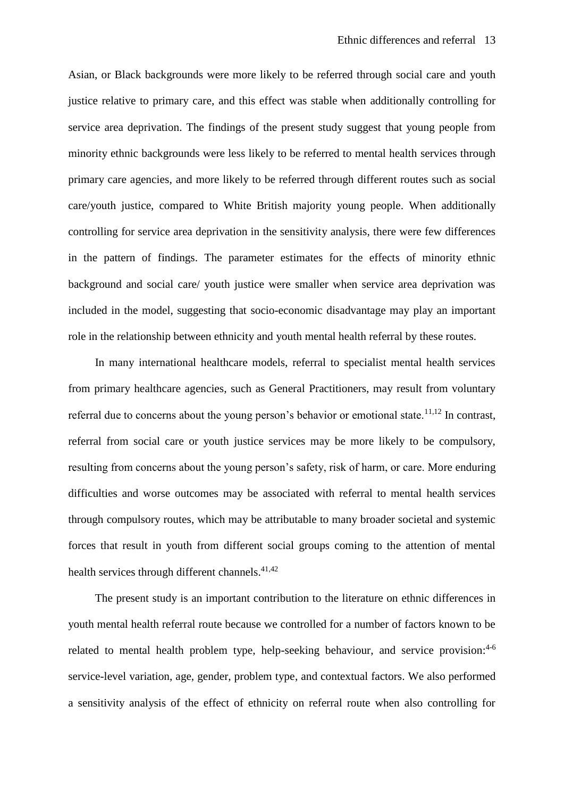Asian, or Black backgrounds were more likely to be referred through social care and youth justice relative to primary care, and this effect was stable when additionally controlling for service area deprivation. The findings of the present study suggest that young people from minority ethnic backgrounds were less likely to be referred to mental health services through primary care agencies, and more likely to be referred through different routes such as social care/youth justice, compared to White British majority young people. When additionally controlling for service area deprivation in the sensitivity analysis, there were few differences in the pattern of findings. The parameter estimates for the effects of minority ethnic background and social care/ youth justice were smaller when service area deprivation was included in the model, suggesting that socio-economic disadvantage may play an important role in the relationship between ethnicity and youth mental health referral by these routes.

In many international healthcare models, referral to specialist mental health services from primary healthcare agencies, such as General Practitioners, may result from voluntary referral due to concerns about the young person's behavior or emotional state.<sup>[11](#page-16-1)[,12](#page-16-2)</sup> In contrast, referral from social care or youth justice services may be more likely to be compulsory, resulting from concerns about the young person's safety, risk of harm, or care. More enduring difficulties and worse outcomes may be associated with referral to mental health services through compulsory routes, which may be attributable to many broader societal and systemic forces that result in youth from different social groups coming to the attention of mental health services through different channels.<sup>[41,](#page-19-5)[42](#page-19-6)</sup>

The present study is an important contribution to the literature on ethnic differences in youth mental health referral route because we controlled for a number of factors known to be related to mental health problem type, help-seeking behaviour, and service provision:<sup>[4-6](#page-15-3)</sup> service-level variation, age, gender, problem type, and contextual factors. We also performed a sensitivity analysis of the effect of ethnicity on referral route when also controlling for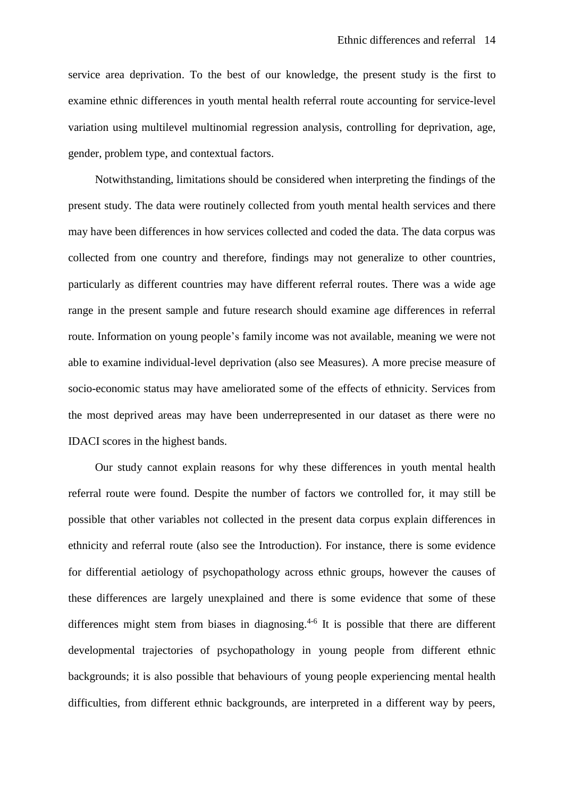service area deprivation. To the best of our knowledge, the present study is the first to examine ethnic differences in youth mental health referral route accounting for service-level variation using multilevel multinomial regression analysis, controlling for deprivation, age, gender, problem type, and contextual factors.

Notwithstanding, limitations should be considered when interpreting the findings of the present study. The data were routinely collected from youth mental health services and there may have been differences in how services collected and coded the data. The data corpus was collected from one country and therefore, findings may not generalize to other countries, particularly as different countries may have different referral routes. There was a wide age range in the present sample and future research should examine age differences in referral route. Information on young people's family income was not available, meaning we were not able to examine individual-level deprivation (also see Measures). A more precise measure of socio-economic status may have ameliorated some of the effects of ethnicity. Services from the most deprived areas may have been underrepresented in our dataset as there were no IDACI scores in the highest bands.

Our study cannot explain reasons for why these differences in youth mental health referral route were found. Despite the number of factors we controlled for, it may still be possible that other variables not collected in the present data corpus explain differences in ethnicity and referral route (also see the Introduction). For instance, there is some evidence for differential aetiology of psychopathology across ethnic groups, however the causes of these differences are largely unexplained and there is some evidence that some of these differences might stem from biases in diagnosing.<sup>[4-6](#page-15-3)</sup> It is possible that there are different developmental trajectories of psychopathology in young people from different ethnic backgrounds; it is also possible that behaviours of young people experiencing mental health difficulties, from different ethnic backgrounds, are interpreted in a different way by peers,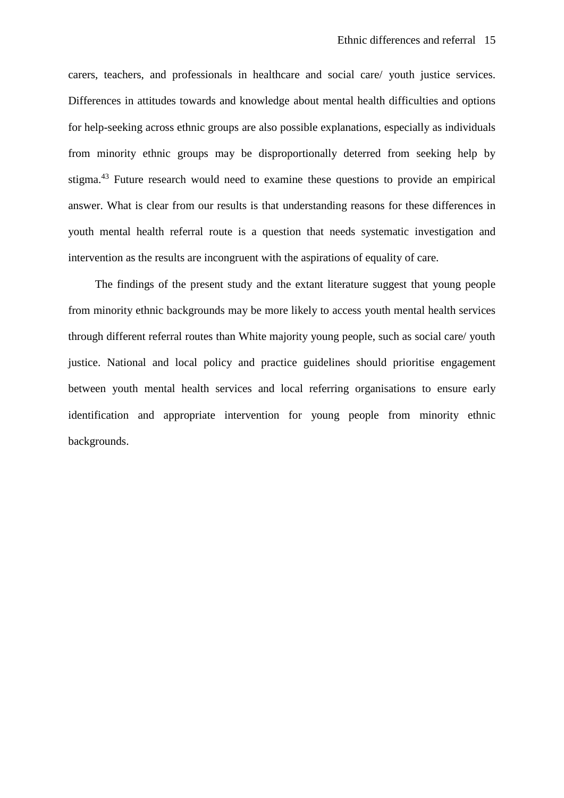carers, teachers, and professionals in healthcare and social care/ youth justice services. Differences in attitudes towards and knowledge about mental health difficulties and options for help-seeking across ethnic groups are also possible explanations, especially as individuals from minority ethnic groups may be disproportionally deterred from seeking help by stigma. [43](#page-19-7) Future research would need to examine these questions to provide an empirical answer. What is clear from our results is that understanding reasons for these differences in youth mental health referral route is a question that needs systematic investigation and intervention as the results are incongruent with the aspirations of equality of care.

The findings of the present study and the extant literature suggest that young people from minority ethnic backgrounds may be more likely to access youth mental health services through different referral routes than White majority young people, such as social care/ youth justice. National and local policy and practice guidelines should prioritise engagement between youth mental health services and local referring organisations to ensure early identification and appropriate intervention for young people from minority ethnic backgrounds.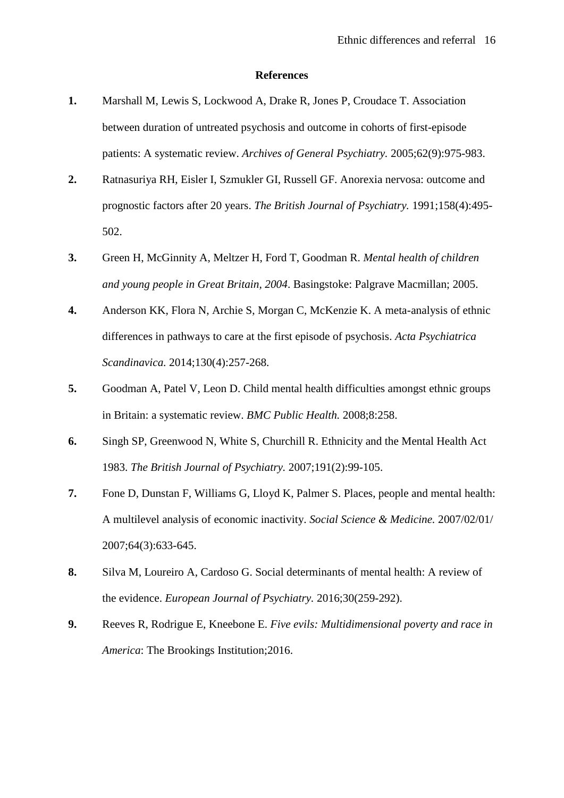#### **References**

- <span id="page-15-0"></span>**1.** Marshall M, Lewis S, Lockwood A, Drake R, Jones P, Croudace T. Association between duration of untreated psychosis and outcome in cohorts of first-episode patients: A systematic review. *Archives of General Psychiatry.* 2005;62(9):975-983.
- <span id="page-15-1"></span>**2.** Ratnasuriya RH, Eisler I, Szmukler GI, Russell GF. Anorexia nervosa: outcome and prognostic factors after 20 years. *The British Journal of Psychiatry.* 1991;158(4):495- 502.
- <span id="page-15-2"></span>**3.** Green H, McGinnity A, Meltzer H, Ford T, Goodman R. *Mental health of children and young people in Great Britain, 2004*. Basingstoke: Palgrave Macmillan; 2005.
- <span id="page-15-3"></span>**4.** Anderson KK, Flora N, Archie S, Morgan C, McKenzie K. A meta-analysis of ethnic differences in pathways to care at the first episode of psychosis. *Acta Psychiatrica Scandinavica.* 2014;130(4):257-268.
- **5.** Goodman A, Patel V, Leon D. Child mental health difficulties amongst ethnic groups in Britain: a systematic review. *BMC Public Health.* 2008;8:258.
- **6.** Singh SP, Greenwood N, White S, Churchill R. Ethnicity and the Mental Health Act 1983. *The British Journal of Psychiatry.* 2007;191(2):99-105.
- <span id="page-15-4"></span>**7.** Fone D, Dunstan F, Williams G, Lloyd K, Palmer S. Places, people and mental health: A multilevel analysis of economic inactivity. *Social Science & Medicine.* 2007/02/01/ 2007;64(3):633-645.
- **8.** Silva M, Loureiro A, Cardoso G. Social determinants of mental health: A review of the evidence. *European Journal of Psychiatry.* 2016;30(259-292).
- **9.** Reeves R, Rodrigue E, Kneebone E. *Five evils: Multidimensional poverty and race in America*: The Brookings Institution;2016.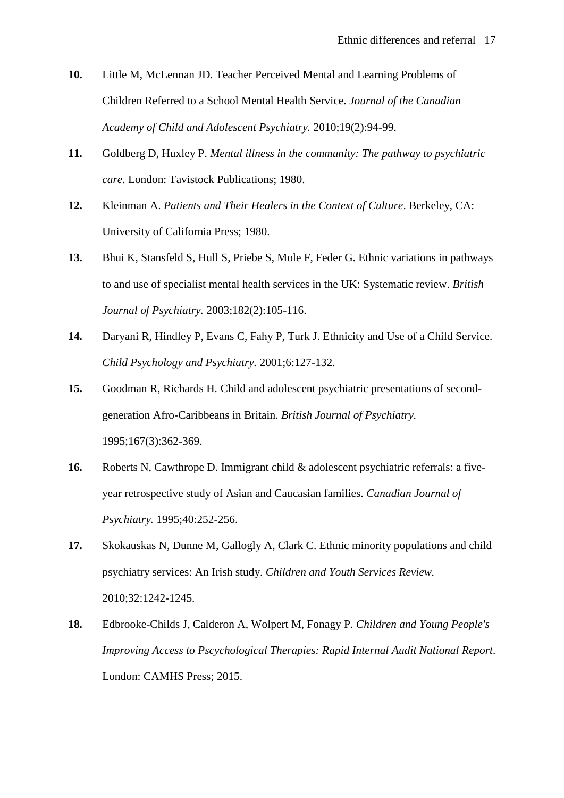- <span id="page-16-0"></span>**10.** Little M, McLennan JD. Teacher Perceived Mental and Learning Problems of Children Referred to a School Mental Health Service. *Journal of the Canadian Academy of Child and Adolescent Psychiatry.* 2010;19(2):94-99.
- <span id="page-16-1"></span>**11.** Goldberg D, Huxley P. *Mental illness in the community: The pathway to psychiatric care*. London: Tavistock Publications; 1980.
- <span id="page-16-2"></span>**12.** Kleinman A. *Patients and Their Healers in the Context of Culture*. Berkeley, CA: University of California Press; 1980.
- <span id="page-16-3"></span>**13.** Bhui K, Stansfeld S, Hull S, Priebe S, Mole F, Feder G. Ethnic variations in pathways to and use of specialist mental health services in the UK: Systematic review. *British Journal of Psychiatry.* 2003;182(2):105-116.
- <span id="page-16-4"></span>**14.** Daryani R, Hindley P, Evans C, Fahy P, Turk J. Ethnicity and Use of a Child Service. *Child Psychology and Psychiatry.* 2001;6:127-132.
- **15.** Goodman R, Richards H. Child and adolescent psychiatric presentations of secondgeneration Afro-Caribbeans in Britain. *British Journal of Psychiatry.*  1995;167(3):362-369.
- **16.** Roberts N, Cawthrope D. Immigrant child & adolescent psychiatric referrals: a fiveyear retrospective study of Asian and Caucasian families. *Canadian Journal of Psychiatry.* 1995;40:252-256.
- **17.** Skokauskas N, Dunne M, Gallogly A, Clark C. Ethnic minority populations and child psychiatry services: An Irish study. *Children and Youth Services Review.*  2010;32:1242-1245.
- <span id="page-16-5"></span>**18.** Edbrooke-Childs J, Calderon A, Wolpert M, Fonagy P. *Children and Young People's Improving Access to Pscychological Therapies: Rapid Internal Audit National Report*. London: CAMHS Press; 2015.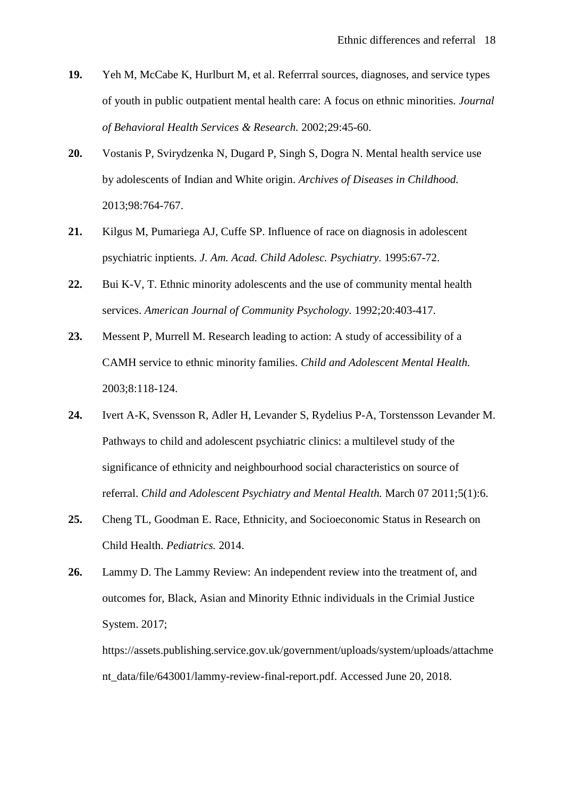- **19.** Yeh M, McCabe K, Hurlburt M, et al. Referrral sources, diagnoses, and service types of youth in public outpatient mental health care: A focus on ethnic minorities. *Journal of Behavioral Health Services & Research.* 2002;29:45-60.
- **20.** Vostanis P, Svirydzenka N, Dugard P, Singh S, Dogra N. Mental health service use by adolescents of Indian and White origin. *Archives of Diseases in Childhood.*  2013;98:764-767.
- **21.** Kilgus M, Pumariega AJ, Cuffe SP. Influence of race on diagnosis in adolescent psychiatric inptients. *J. Am. Acad. Child Adolesc. Psychiatry.* 1995:67-72.
- **22.** Bui K-V, T. Ethnic minority adolescents and the use of community mental health services. *American Journal of Community Psychology.* 1992;20:403-417.
- **23.** Messent P, Murrell M. Research leading to action: A study of accessibility of a CAMH service to ethnic minority families. *Child and Adolescent Mental Health.*  2003;8:118-124.
- **24.** Ivert A-K, Svensson R, Adler H, Levander S, Rydelius P-A, Torstensson Levander M. Pathways to child and adolescent psychiatric clinics: a multilevel study of the significance of ethnicity and neighbourhood social characteristics on source of referral. *Child and Adolescent Psychiatry and Mental Health.* March 07 2011;5(1):6.
- <span id="page-17-0"></span>**25.** Cheng TL, Goodman E. Race, Ethnicity, and Socioeconomic Status in Research on Child Health. *Pediatrics.* 2014.
- <span id="page-17-1"></span>**26.** Lammy D. The Lammy Review: An independent review into the treatment of, and outcomes for, Black, Asian and Minority Ethnic individuals in the Crimial Justice System. 2017;

https://assets.publishing.service.gov.uk/government/uploads/system/uploads/attachme nt\_data/file/643001/lammy-review-final-report.pdf. Accessed June 20, 2018.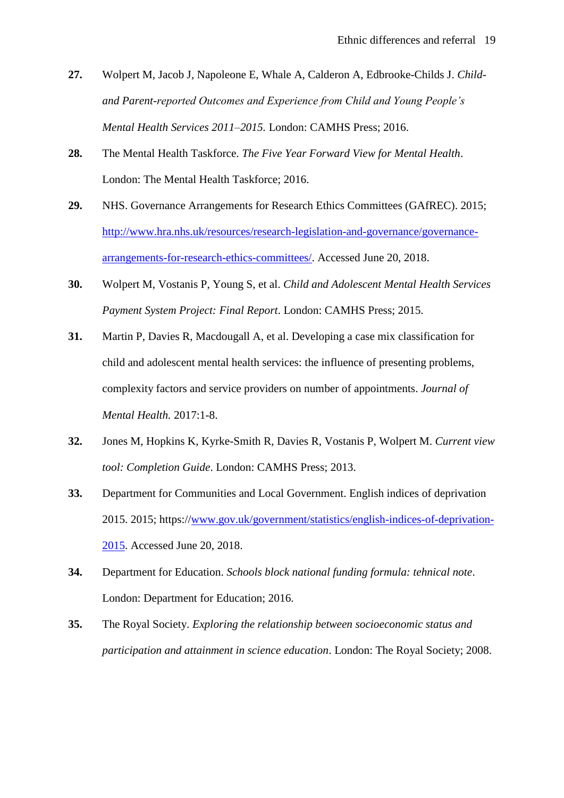- <span id="page-18-0"></span>**27.** Wolpert M, Jacob J, Napoleone E, Whale A, Calderon A, Edbrooke-Childs J. *Childand Parent-reported Outcomes and Experience from Child and Young People's Mental Health Services 2011–2015.* London: CAMHS Press; 2016.
- <span id="page-18-1"></span>**28.** The Mental Health Taskforce. *The Five Year Forward View for Mental Health*. London: The Mental Health Taskforce; 2016.
- <span id="page-18-2"></span>**29.** NHS. Governance Arrangements for Research Ethics Committees (GAfREC). 2015; [http://www.hra.nhs.uk/resources/research-legislation-and-governance/governance](http://www.hra.nhs.uk/resources/research-legislation-and-governance/governance-arrangements-for-research-ethics-committees/)[arrangements-for-research-ethics-committees/.](http://www.hra.nhs.uk/resources/research-legislation-and-governance/governance-arrangements-for-research-ethics-committees/) Accessed June 20, 2018.
- <span id="page-18-3"></span>**30.** Wolpert M, Vostanis P, Young S, et al. *Child and Adolescent Mental Health Services Payment System Project: Final Report*. London: CAMHS Press; 2015.
- <span id="page-18-4"></span>**31.** Martin P, Davies R, Macdougall A, et al. Developing a case mix classification for child and adolescent mental health services: the influence of presenting problems, complexity factors and service providers on number of appointments. *Journal of Mental Health.* 2017:1-8.
- <span id="page-18-5"></span>**32.** Jones M, Hopkins K, Kyrke-Smith R, Davies R, Vostanis P, Wolpert M. *Current view tool: Completion Guide*. London: CAMHS Press; 2013.
- <span id="page-18-6"></span>**33.** Department for Communities and Local Government. English indices of deprivation 2015. 2015; https:/[/www.gov.uk/government/statistics/english-indices-of-deprivation-](http://www.gov.uk/government/statistics/english-indices-of-deprivation-2015)[2015.](http://www.gov.uk/government/statistics/english-indices-of-deprivation-2015) Accessed June 20, 2018.
- <span id="page-18-7"></span>**34.** Department for Education. *Schools block national funding formula: tehnical note*. London: Department for Education; 2016.
- <span id="page-18-8"></span>**35.** The Royal Society. *Exploring the relationship between socioeconomic status and participation and attainment in science education*. London: The Royal Society; 2008.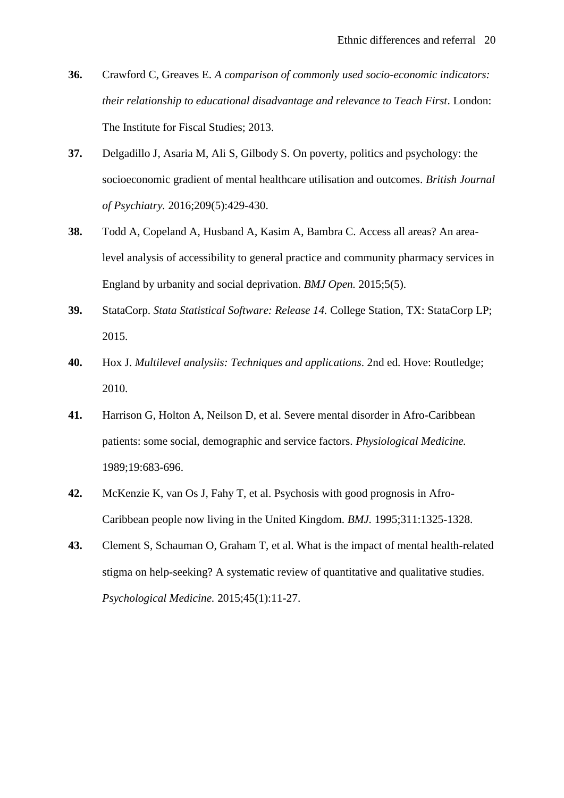- <span id="page-19-0"></span>**36.** Crawford C, Greaves E. *A comparison of commonly used socio-economic indicators: their relationship to educational disadvantage and relevance to Teach First*. London: The Institute for Fiscal Studies; 2013.
- <span id="page-19-1"></span>**37.** Delgadillo J, Asaria M, Ali S, Gilbody S. On poverty, politics and psychology: the socioeconomic gradient of mental healthcare utilisation and outcomes. *British Journal of Psychiatry.* 2016;209(5):429-430.
- <span id="page-19-2"></span>**38.** Todd A, Copeland A, Husband A, Kasim A, Bambra C. Access all areas? An arealevel analysis of accessibility to general practice and community pharmacy services in England by urbanity and social deprivation. *BMJ Open.* 2015;5(5).
- <span id="page-19-3"></span>**39.** StataCorp. *Stata Statistical Software: Release 14.* College Station, TX: StataCorp LP; 2015.
- <span id="page-19-4"></span>**40.** Hox J. *Multilevel analysiis: Techniques and applications*. 2nd ed. Hove: Routledge; 2010.
- <span id="page-19-5"></span>**41.** Harrison G, Holton A, Neilson D, et al. Severe mental disorder in Afro-Caribbean patients: some social, demographic and service factors. *Physiological Medicine.*  1989;19:683-696.
- <span id="page-19-6"></span>**42.** McKenzie K, van Os J, Fahy T, et al. Psychosis with good prognosis in Afro-Caribbean people now living in the United Kingdom. *BMJ.* 1995;311:1325-1328.
- <span id="page-19-7"></span>**43.** Clement S, Schauman O, Graham T, et al. What is the impact of mental health-related stigma on help-seeking? A systematic review of quantitative and qualitative studies. *Psychological Medicine.* 2015;45(1):11-27.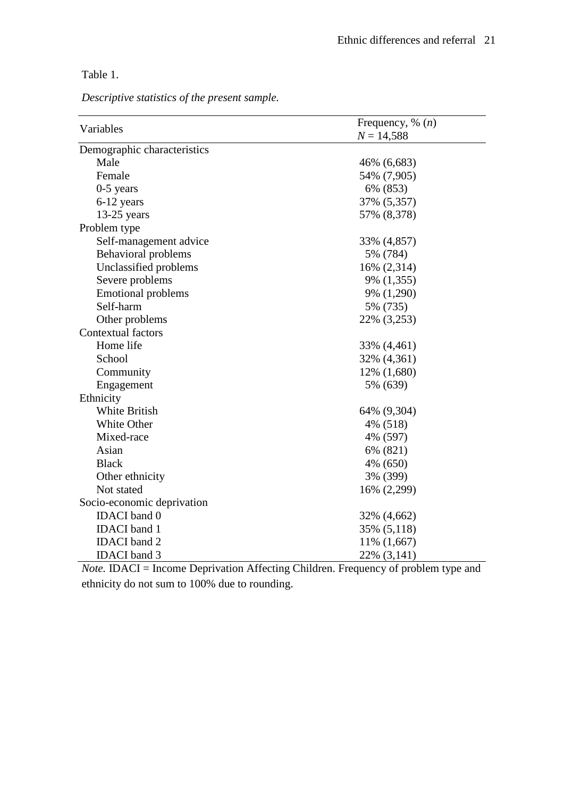Table 1.

*Descriptive statistics of the present sample.*

|                             | Frequency, % $(n)$ |
|-----------------------------|--------------------|
| Variables                   | $N = 14,588$       |
| Demographic characteristics |                    |
| Male                        | 46% (6,683)        |
| Female                      | 54% (7,905)        |
| $0-5$ years                 | 6% (853)           |
| 6-12 years                  | 37% (5,357)        |
| $13-25$ years               | 57% (8,378)        |
| Problem type                |                    |
| Self-management advice      | 33% (4,857)        |
| <b>Behavioral problems</b>  | 5% (784)           |
| Unclassified problems       | 16% (2,314)        |
| Severe problems             | 9% (1,355)         |
| <b>Emotional problems</b>   | 9% (1,290)         |
| Self-harm                   | 5% (735)           |
| Other problems              | 22% (3,253)        |
| Contextual factors          |                    |
| Home life                   | 33% (4,461)        |
| School                      | 32% (4,361)        |
| Community                   | 12% (1,680)        |
| Engagement                  | 5% (639)           |
| Ethnicity                   |                    |
| White British               | 64% (9,304)        |
| White Other                 | 4% (518)           |
| Mixed-race                  | 4% (597)           |
| Asian                       | 6% (821)           |
| <b>Black</b>                | 4% (650)           |
| Other ethnicity             | 3% (399)           |
| Not stated                  | 16% (2,299)        |
| Socio-economic deprivation  |                    |
| <b>IDACI</b> band 0         | 32% (4,662)        |
| <b>IDACI</b> band 1         | 35% (5,118)        |
| <b>IDACI</b> band 2         | 11% (1,667)        |
| <b>IDACI</b> band 3         | 22% (3,141)        |

*Note.* IDACI = Income Deprivation Affecting Children. Frequency of problem type and ethnicity do not sum to 100% due to rounding.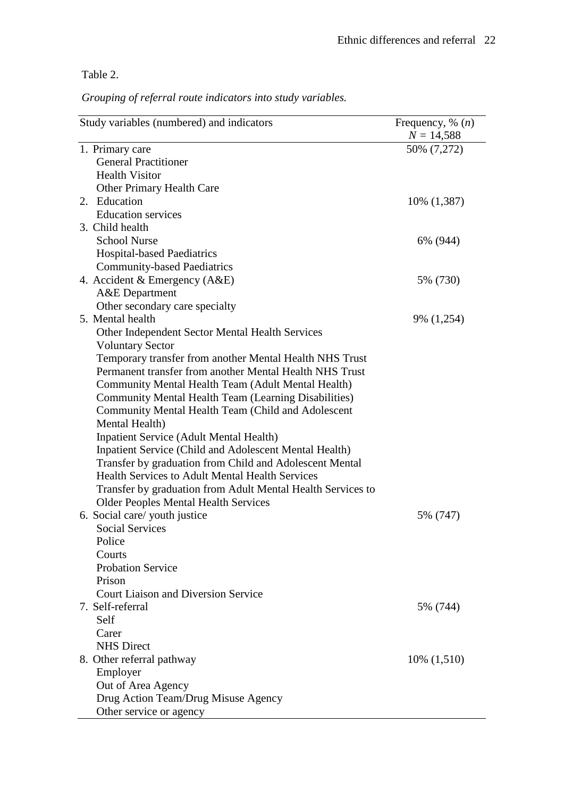Table 2.

*Grouping of referral route indicators into study variables.*

| Study variables (numbered) and indicators                     | Frequency, % $(n)$<br>$N = 14,588$ |
|---------------------------------------------------------------|------------------------------------|
| 1. Primary care                                               | 50% (7,272)                        |
| <b>General Practitioner</b>                                   |                                    |
| <b>Health Visitor</b>                                         |                                    |
| <b>Other Primary Health Care</b>                              |                                    |
| 2. Education                                                  | 10% (1,387)                        |
| <b>Education services</b>                                     |                                    |
| 3. Child health                                               |                                    |
| <b>School Nurse</b>                                           | 6% (944)                           |
| <b>Hospital-based Paediatrics</b>                             |                                    |
| <b>Community-based Paediatrics</b>                            |                                    |
| 4. Accident & Emergency (A&E)                                 | 5% (730)                           |
| <b>A&amp;E</b> Department                                     |                                    |
| Other secondary care specialty                                |                                    |
| 5. Mental health                                              | 9% (1,254)                         |
| Other Independent Sector Mental Health Services               |                                    |
| <b>Voluntary Sector</b>                                       |                                    |
| Temporary transfer from another Mental Health NHS Trust       |                                    |
| Permanent transfer from another Mental Health NHS Trust       |                                    |
| Community Mental Health Team (Adult Mental Health)            |                                    |
| Community Mental Health Team (Learning Disabilities)          |                                    |
| Community Mental Health Team (Child and Adolescent            |                                    |
| Mental Health)                                                |                                    |
| <b>Inpatient Service (Adult Mental Health)</b>                |                                    |
| <b>Inpatient Service (Child and Adolescent Mental Health)</b> |                                    |
| Transfer by graduation from Child and Adolescent Mental       |                                    |
| <b>Health Services to Adult Mental Health Services</b>        |                                    |
| Transfer by graduation from Adult Mental Health Services to   |                                    |
| <b>Older Peoples Mental Health Services</b>                   |                                    |
| 6. Social care/ youth justice                                 | 5% (747)                           |
| <b>Social Services</b>                                        |                                    |
| Police                                                        |                                    |
| Courts                                                        |                                    |
| <b>Probation Service</b>                                      |                                    |
| Prison                                                        |                                    |
| <b>Court Liaison and Diversion Service</b>                    |                                    |
| 7. Self-referral                                              | 5% (744)                           |
| Self                                                          |                                    |
| Carer                                                         |                                    |
| <b>NHS Direct</b>                                             |                                    |
| 8. Other referral pathway                                     | $10\%$ $(1,510)$                   |
| Employer                                                      |                                    |
| Out of Area Agency                                            |                                    |
| Drug Action Team/Drug Misuse Agency                           |                                    |
| Other service or agency                                       |                                    |